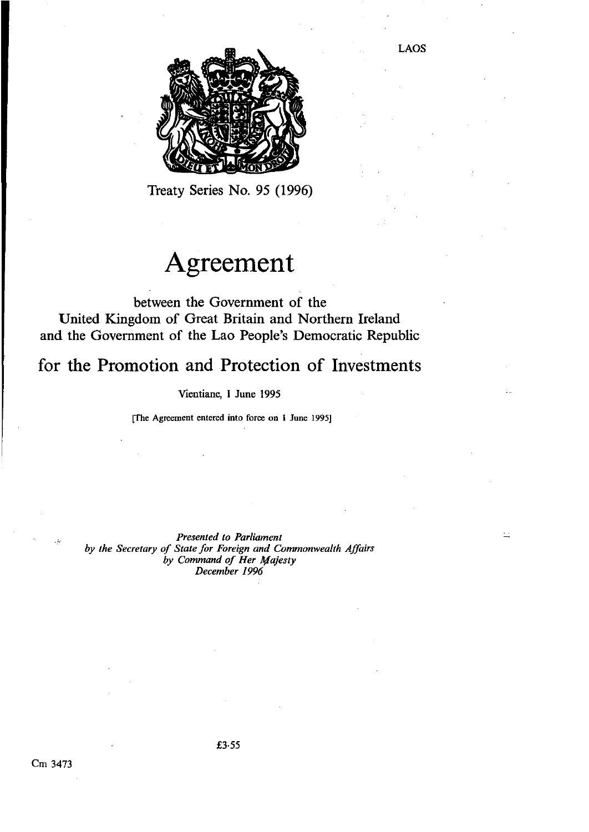

Treaty Series No. 95 (1996)

# **Agreement**

between the Government of the United Kingdom of Great Britain and Northern Ireland and the Government of the Lao People's Democratic Republic

## for the Promotion and Protection of Investments

Vientiane, 1 June 1995

[The Agreement entered into force on 1 June 1995]

*Presented to Parliament by the Secretary of State for Foreign and Commonwealth Affairs by Command of Her JIflajesty December 1996* 

£3·55

.;,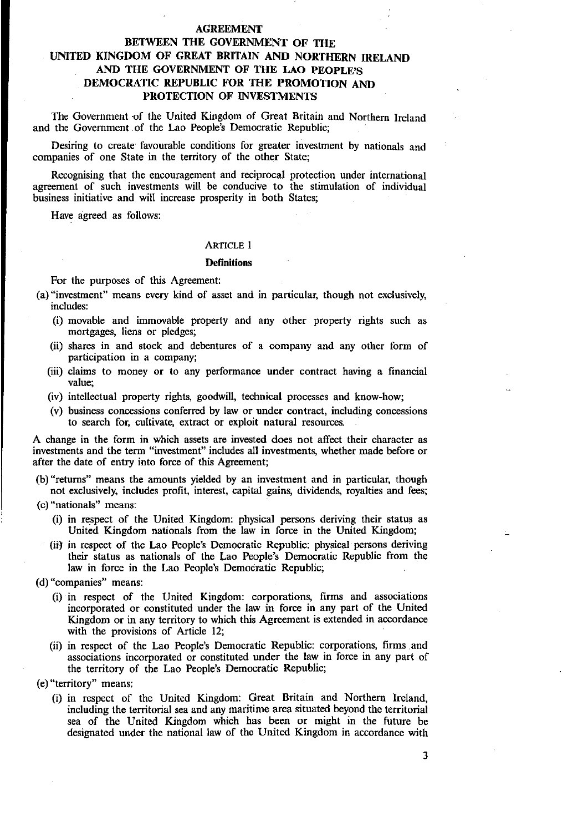#### AGREEMENT

### BETWEEN THE GOVERNMENT OF THE UNITED KINGDOM OF GREAT BRITAIN AND NORTHERN IRELAND AND THE GOVERNMENT OF THE LAO PEOPLE'S DEMOCRATIC REPUBLIC FOR THE PROMOTION AND PROTECTION OF INVESTMENTS

The Government of the United Kingdom of Great Britain and Northern Ireland and the Govemment. of the Lao People's Democratic Republic;

Desiring to create favourable conditions for greater investment by nationals and companies of one State in the territory of the other State;

Recognising that the encouragement and reciprocal protection under intemational agreement of such investments will be conducive to the stimulation of individual business initiative and will increase prosperity in both States;

Have agreed as follows:

#### ARTICLE 1

#### **Definitions**

For the purposes of this Agreement:

- (a) "investment" means every kind of asset and in particular, though not exclusively, includes:
	- (i) movable and immovable property and any other property rights such as mortgages, liens or pledges;
	- (ii) shares in and stock and debentures of a company and any other form of participation in a company;
	- (iii) claims to money or to any performance under contract having a financial value;
	- (iv) intellectual property rights, goodwill, technical processes and know-how;
	- (v) business concessions conferred by law or under contract, including concessions to search for, cultivate, extract or exploit natural resources.

A change in the form in which assets are invested does not affect their character as investments and the term "investment" includes all investments, whether made before or after the date of entry into force of this Agreement;

- (b) "retums" means the amounts yielded by an investment and in particular, though not exclusively, includes profit, interest, capital gains, dividends, royalties and fees;
- (c) "nationals" means:
	- (i) in respect of the United Kingdom: physical persons deriving their status as United Kingdom nationals from the law in force in the United Kingdom;
	- (if) in respect of the Lao People's Democratic Republic: physical persons deriving their status as nationals of the Lao People's Democratic Republic from the law in force in the Lao People's Democratic Republic;
- (d) "companies" means:
	- $(i)$  in respect of the United Kingdom: corporations, firms and associations incorporated or constituted under the law in force in any part of the United Kingdom or in any territory to which this Agreement is extended in accordance with the provisions of Article 12;
	- (ii) in respect of the Lao People's Democratic Republic: corporations, firms and associations incorporated or constituted under the law in force in any part of the territory of the Lao People's Democratic Republic;
- (e) "territory" means:
	- (i) in respect of the United Kingdom: Great Britain and Northem Ireland, including the territorial sea and any maritime area situated beyond the territorial sea of the United Kingdom which has been or might in the future be designated under the national law of the United Kingdom in accordance with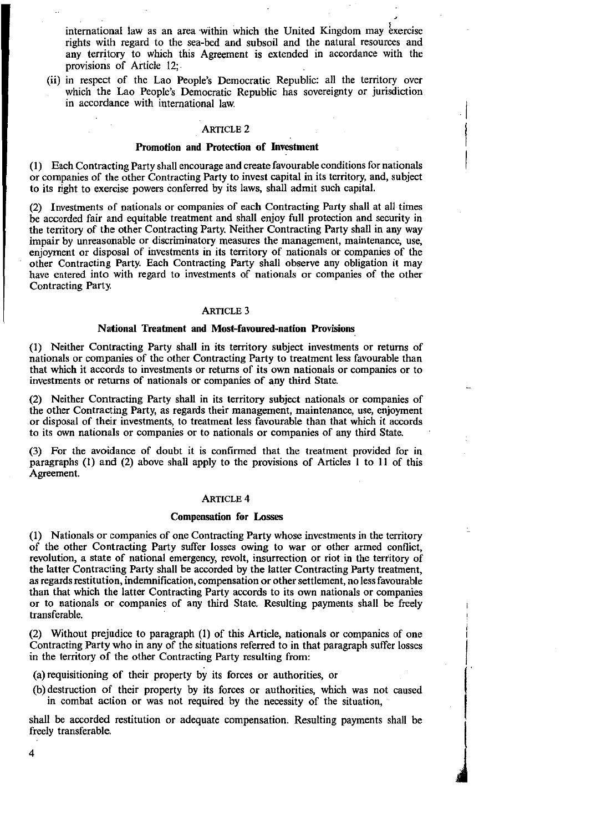international law as an area within which the United Kingdom may exercise rights with regard to the sea-bed and subsoil and the natural resources and any territory to which this Agreement is extended in accordance with the provisions of Article 12;

 $\vert$ 

 $\vert$ 

 $\vert$ 

I I

 $\begin{bmatrix} 1 & 1 \\ 1 & 1 \end{bmatrix}$ 

 $\int_0^1$ 

 $\mathbf{I}$ 

(ii) in respect of the Lao People's Democratic Republic: all the territory over which the Lao People's Democratic Republic has sovereignty or jurisdiction in accordance with international law.

#### ARTICLE 2

#### Promotion and Protection of Investment

(I) Each Contracting Party shall encourage and create favourable conditions for nationals or companies of the other Contracting Party to invest capital in its territory, and, subject to its right to exercise powers conferred by its laws, shall admit such capital.

(2) Investments of nationals or companies of each Contracting Party shall at all times be accorded fair and equitable treatment and shall enjoy full protection and security in the territory of the other Contracting Party. Neither Contracting Party shall in any way impair by unreasonable or discriminatory measures the management, maintenance, use, enjoyment or disposal of investments in its territory of nationals or companies of the other Contracting Party. Each Contracting Party shall observe any obligation it may have entered into with regard to investments of nationals or companies of the other Contracting Party.

#### ARTICLE 3

#### National Treatment and Most-favoured-nation Provisions

(I) Neither Contracting Party shall in its territory subject investments or returns of nationals or companies of the other Contracting Party to treatment less favourable than that which it accords to investments or returns of its own nationals or companies or to investments or returns of nationals or companies of any third State.

(2) Neither Contracting Party shall in its territory subject nationals or companies of the other Contracting Party, as regards their management, maintenance, use, enjoyment or disposal of their investments, to treatment less favourable than that which it accords to its own nationals or companies or to nationals or companies of any third State.

(3) For the avoidance of doubt it is confirmed that the treatment provided for in paragraphs (I) and (2) above shall apply to the provisions of Articles I to II of this Agreement.

#### ARTICLE 4

#### Compensation for Losses

(I) Nationals or companies of one Contracting Party whose investments in the territory of the other Contracting Party suffer losses owing to war or other armed conflict, revolution, a state of national emergency, revolt, insurrection or riot in the territory of the latter Contracting Party shall be accorded by the latter Contracting Party treatment, as regards restitution, indemnification, compensation or other settlement, no less favourable than that which the latter Contracting Party accords to its own nationals or companies or to nationals or companies of any third State. Resulting payments shall be freely transferable.

(2) Without prejudice to paragraph (I) of this Article, nationals or companies of one Contracting Party who in any of the situations referred to in that paragraph suffer losses in the territory of the other Contracting Party resulting from:

(a) requisitioning of their property by its forces or authorities, or

(b) destruction of their property by its forces or authorities, which was not caused in combat action or was not required by the necessity of the situation,

shall be accorded restitution or adequate compensation. Resulting payments shall be freely transferable.

4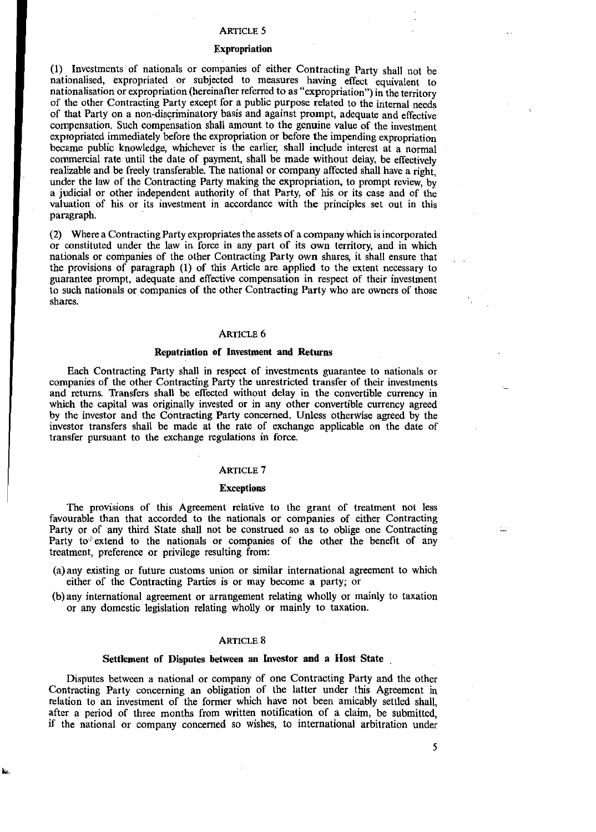#### ARTICLE 5

#### Expropriation

(1) Investments of nationals or companies of either Contracting Party shall not be nationalised, expropriated or subjected to measures having effect equivalent to nationalisation or expropriation (hereinafter referred to as "expropriation") in the territory of tne other Contracting Party except for a public purpose related to the internal needs of that Party on a non-discriminatory basis and against prompt, adequate and effective compensation. Such compensation shall amount to the genuine value of the investment expropriated immediately before the expropriation or before the impending expropriation became public knowledge, whichever is the earlier, shall include interest at a normal commercial rate until the date of payment, shall be made without delay, be effectively realizable and be freely transferable. The national or company affected shall have a right, under the law of the Contracting Party making the expropriation, to prompt review, by a judicial or other independent authority of that Party, of his or its case and of the valuation of his or its investment in accordance with the principles set out in this paragraph.

(2) Where a Contracting Party expropriates the assets of a company which is incorporated or constituted under the law in force in any part of its own territory, and in which nationals or companies of the other Contracting Party own shares, it shall ensure that the provisions of paragraph (I) of this Article are applied to the extent necessary to guarantee prompt, adequate and effective compensation in respect of their investment to such nationals or companies of the other Contracting Party who are owners of those shares.

#### ARTICLE 6

#### Repatriation of Investroent **and** Returns

Each Contracting Party shall in respect of investments guarantee to nationals or companies of the other Contracting Party the unrestricted transfer of their investments and returns. Transfers shall be effected without delay in the convertible currency in which the capital was originally invested or in any other convertible currency agreed by the investor and the Contracting Party concerned. Unless otherwise agreed by the investor transfers shall be made at the rate of exchange applicable on the date of transfer pursuant to the exchange regulations in force.

#### ARTICLE 7

#### Exceptions

The provisions of this Agreement relative to the grant of treatment not less favourable than that accorded to the nationals or companies of either Contracting Party or of any third State shall not be construed so as to oblige one Contracting Party to extend to the nationals or companies of the other the benefit of any treatment, preference or privilege resulting from:

- (a) any existing or future customs union or similar international agreement to which either of the Contracting Parties is or may become a party; or
- (b) any international agreement or arrangement relating wholly or mainly to taxation or any domestic legislation relating wholly or mainly to taxation.

#### ARTICLE 8

#### Settlement of Disputes between an Investor **and** a Host State

Disputes between a national or company of one Contracting Party and the other Contracting Party concerning an obligation of the latter under this Agreement in relation to an investment of the former which have not been amicably settled shall, after a period of three months from written notification of a claim, be submitted, if the national or company concerned so wishes, to international arbitration under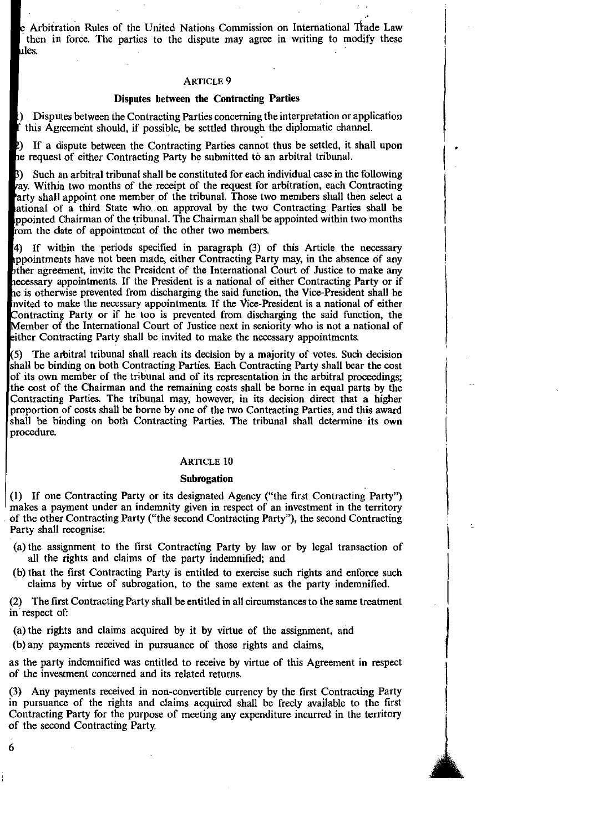Arbitration Rules of the United Nations Commission on International TIade Law then in force. The parties to the dispute may agree in writing to modify these les.

#### ARTICLE 9

#### Disputes between the Contracting Parties

) Disputes between the Contracting Parties concerning the interpretation or application this Agreement should, if possible, be settled through the diplomatic channel.

) If a dispute between the Contracting Parties cannot thus be settled, it shall upon he request of either Contracting Party be submitted to an arbitral tribunal.

) Such an arbitral tribunal shall be constituted for each individual case in the following ay. Within two months of the receipt of the request for arbitration, each Contracting arty shall appoint one member of the tribunal. Those two members shall then select a ational of a third State who on approval by the two Contracting Parties shall be ppointed Chairman of the tribunal. The Chairman shall be appointed within two months rom the date of appointment of the other two members.

4) If within the periods specified in paragraph (3) of this Article the necessary ppointments have not been made, either Contracting Party may, in the absence of any ther agreement, invite the President of the International Court of Justice to make any ecessary appointments. If the President is a national of either Contracting Party or if he is otherwise prevented from discharging the said function, the Vice-President shall be nvited to make the necessary appointments. If the Vice-President is a national of either Contracting Party or if he too is prevented from discharging the said function, the Member of the International Court of Justice next in seniority who is not a national of either Contracting Party shall be invited to make the necessary appointments.

5) The arbitral tribunal shall reach its decision by a majority of votes. Such decision shaH be binding on both Contracting Parties. Each Contracting Party shall bear the cost of its own member of the tribunal and of its representation in the arbitral proceedings; the cost of the Chairman and the remaining costs shall be borne in equal parts by the Contracting Parties. The tribunal may, however, in its decision direct that a higher proportion of costs shall be borne by one of the two Contracting Parties, and this award shaH be binding on both Contracting Parties. The tribunal shall determine' its own procedure.

#### **ARTICLE 10**

#### Subrogation

(1) If one Contracting Party or its designated Agency ("the first Contracting Party") makes a payment under an indemnity given in respect of an investment in the territory . of the other Contracting Party ("the second Contracting Party"), the second Contracting Party shall recognise:

- (a) the assignment to the first Contracting Party by law or by legal transaction of all the rights and claims of the party indemnified; and
- (b) that the first Contracting Party is entitled to exercise such rights and enforce such clainns by virtue of subrogation, to the same extent as the party indemnified.

(2) The first Contracting Party shaH be entitled in all circumstances to the same treatment in respect of:

(a) the rights and claims acquired by it by virtue of the assignment, and

(b) any payments received in pursuance of those rights and claims,

as the party indemnified was entitled to receive by virtue of this Agreement in respect of the investment concerned and its related returns.

(3) Any payments received in non-convertible currency by the first Contracting Party in pursuance of the rights and claims acquired shall be freely available to the first Contracting Party for the purpose of meeting any expenditure incurred in the territory of the second Contracting Party.